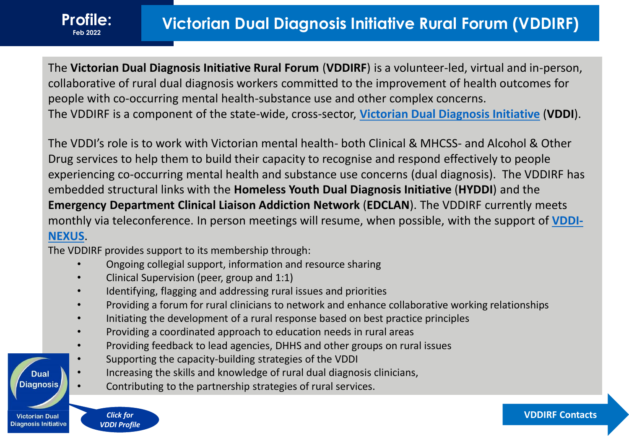The **Victorian Dual Diagnosis Initiative Rural Forum** (**VDDIRF**) is a volunteer-led, virtual and in-person, collaborative of rural dual diagnosis workers committed to the improvement of health outcomes for people with co-occurring mental health-substance use and other complex concerns. The VDDIRF is a component of the state-wide, cross-sector, **[Victorian Dual Diagnosis Initiative](http://www.dualdiagnosis.org.au/home/images/VDDI/Vicn_Dual_Diagnosis_Services-Profile-Contacts_Jan-2019.pdf)** (**VDDI**).

The VDDI's role is to work with Victorian mental health- both Clinical & MHCSS- and Alcohol & Other Drug services to help them to build their capacity to recognise and respond effectively to people experiencing co-occurring mental health and substance use concerns (dual diagnosis). The VDDIRF has embedded structural links with the **Homeless Youth Dual Diagnosis Initiative** (**HYDDI**) and the **Emergency Department Clinical Liaison Addiction Network** (**EDCLAN**). The VDDIRF currently meets [monthly via teleconference. In person meetings will resume, when possible, with the support of](https://www.svhm.org.au/our-services/departments-and-services/n/nexus) **VDDI-NEXUS**.

The VDDIRF provides support to its membership through:

- Ongoing collegial support, information and resource sharing
- Clinical Supervision (peer, group and 1:1)
- Identifying, flagging and addressing rural issues and priorities
- Providing a forum for rural clinicians to network and enhance collaborative working relationships
- Initiating the development of a rural response based on best practice principles
- Providing a coordinated approach to education needs in rural areas
- Providing feedback to lead agencies, DHHS and other groups on rural issues
- Supporting the capacity-building strategies of the VDDI
- Increasing the skills and knowledge of rural dual diagnosis clinicians,
- Contributing to the partnership strategies of rural services.

*Click for*  **Diagnosis Initiative** *[VDDI Profile](http://www.dualdiagnosis.org.au/home/images/VDDI/Vicn_Dual_Diagnosis_Services-Profile-Contacts_Jan-2019.pdf)*

Dual **Diagnosis** 

**Victorian Dual**